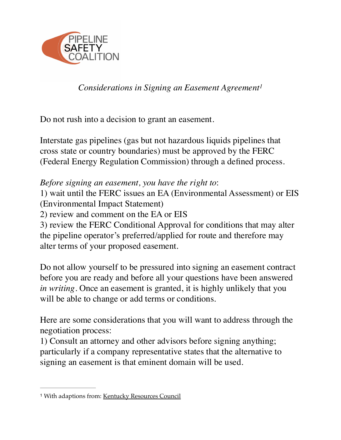

*Considerations in Signing an Easement Agreement1*

Do not rush into a decision to grant an easement.

Interstate gas pipelines (gas but not hazardous liquids pipelines that cross state or country boundaries) must be approved by the FERC (Federal Energy Regulation Commission) through a defined process.

#### *Before signing an easement, you have the right to*:

1) wait until the FERC issues an EA (Environmental Assessment) or EIS (Environmental Impact Statement)

2) review and comment on the EA or EIS

3) review the FERC Conditional Approval for conditions that may alter the pipeline operator's preferred/applied for route and therefore may alter terms of your proposed easement.

Do not allow yourself to be pressured into signing an easement contract before you are ready and before all your questions have been answered *in writing*. Once an easement is granted, it is highly unlikely that you will be able to change or add terms or conditions.

Here are some considerations that you will want to address through the negotiation process:

1) Consult an attorney and other advisors before signing anything; particularly if a company representative states that the alternative to signing an easement is that eminent domain will be used.

<sup>&</sup>lt;sup>1</sup> With adaptions from: [Kentucky Resources Council](http://www.kyrc.org/webnewspro/138142064642871.shtml)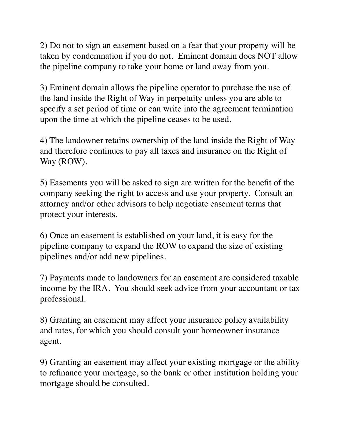2) Do not to sign an easement based on a fear that your property will be taken by condemnation if you do not. Eminent domain does NOT allow the pipeline company to take your home or land away from you.

3) Eminent domain allows the pipeline operator to purchase the use of the land inside the Right of Way in perpetuity unless you are able to specify a set period of time or can write into the agreement termination upon the time at which the pipeline ceases to be used.

4) The landowner retains ownership of the land inside the Right of Way and therefore continues to pay all taxes and insurance on the Right of Way (ROW).

5) Easements you will be asked to sign are written for the benefit of the company seeking the right to access and use your property. Consult an attorney and/or other advisors to help negotiate easement terms that protect your interests.

6) Once an easement is established on your land, it is easy for the pipeline company to expand the ROW to expand the size of existing pipelines and/or add new pipelines.

7) Payments made to landowners for an easement are considered taxable income by the IRA. You should seek advice from your accountant or tax professional.

8) Granting an easement may affect your insurance policy availability and rates, for which you should consult your homeowner insurance agent.

9) Granting an easement may affect your existing mortgage or the ability to refinance your mortgage, so the bank or other institution holding your mortgage should be consulted.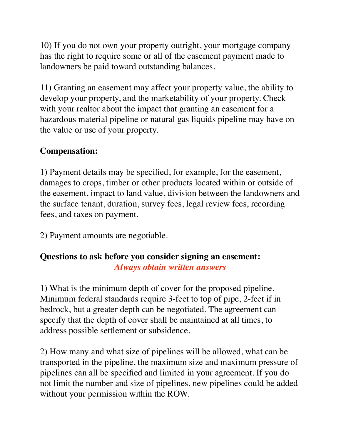10) If you do not own your property outright, your mortgage company has the right to require some or all of the easement payment made to landowners be paid toward outstanding balances.

11) Granting an easement may affect your property value, the ability to develop your property, and the marketability of your property. Check with your realtor about the impact that granting an easement for a hazardous material pipeline or natural gas liquids pipeline may have on the value or use of your property.

# **Compensation:**

1) Payment details may be specified, for example, for the easement, damages to crops, timber or other products located within or outside of the easement, impact to land value, division between the landowners and the surface tenant, duration, survey fees, legal review fees, recording fees, and taxes on payment.

2) Payment amounts are negotiable.

### **Questions to ask before you consider signing an easement:** *Always obtain written answers*

1) What is the minimum depth of cover for the proposed pipeline. Minimum federal standards require 3-feet to top of pipe, 2-feet if in bedrock, but a greater depth can be negotiated. The agreement can specify that the depth of cover shall be maintained at all times, to address possible settlement or subsidence.

2) How many and what size of pipelines will be allowed, what can be transported in the pipeline, the maximum size and maximum pressure of pipelines can all be specified and limited in your agreement. If you do not limit the number and size of pipelines, new pipelines could be added without your permission within the ROW.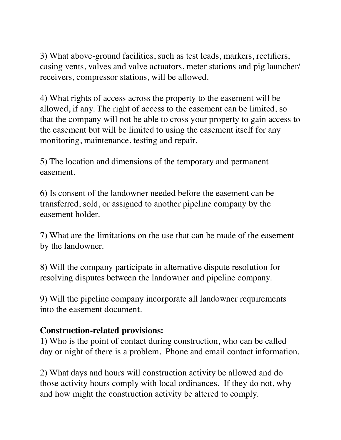3) What above-ground facilities, such as test leads, markers, rectifiers, casing vents, valves and valve actuators, meter stations and pig launcher/ receivers, compressor stations, will be allowed.

4) What rights of access across the property to the easement will be allowed, if any. The right of access to the easement can be limited, so that the company will not be able to cross your property to gain access to the easement but will be limited to using the easement itself for any monitoring, maintenance, testing and repair.

5) The location and dimensions of the temporary and permanent easement.

6) Is consent of the landowner needed before the easement can be transferred, sold, or assigned to another pipeline company by the easement holder.

7) What are the limitations on the use that can be made of the easement by the landowner.

8) Will the company participate in alternative dispute resolution for resolving disputes between the landowner and pipeline company.

9) Will the pipeline company incorporate all landowner requirements into the easement document.

### **Construction-related provisions:**

1) Who is the point of contact during construction, who can be called day or night of there is a problem. Phone and email contact information.

2) What days and hours will construction activity be allowed and do those activity hours comply with local ordinances. If they do not, why and how might the construction activity be altered to comply.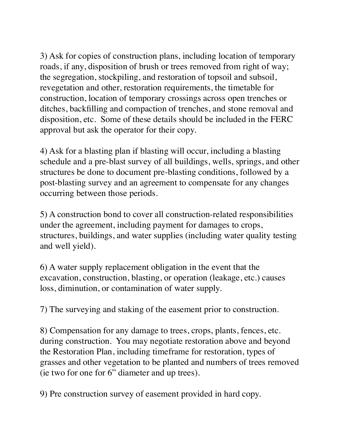3) Ask for copies of construction plans, including location of temporary roads, if any, disposition of brush or trees removed from right of way; the segregation, stockpiling, and restoration of topsoil and subsoil, revegetation and other, restoration requirements, the timetable for construction, location of temporary crossings across open trenches or ditches, backfilling and compaction of trenches, and stone removal and disposition, etc. Some of these details should be included in the FERC approval but ask the operator for their copy.

4) Ask for a blasting plan if blasting will occur, including a blasting schedule and a pre-blast survey of all buildings, wells, springs, and other structures be done to document pre-blasting conditions, followed by a post-blasting survey and an agreement to compensate for any changes occurring between those periods.

5) A construction bond to cover all construction-related responsibilities under the agreement, including payment for damages to crops, structures, buildings, and water supplies (including water quality testing and well yield).

6) A water supply replacement obligation in the event that the excavation, construction, blasting, or operation (leakage, etc.) causes loss, diminution, or contamination of water supply.

7) The surveying and staking of the easement prior to construction.

8) Compensation for any damage to trees, crops, plants, fences, etc. during construction. You may negotiate restoration above and beyond the Restoration Plan, including timeframe for restoration, types of grasses and other vegetation to be planted and numbers of trees removed (ie two for one for 6" diameter and up trees).

9) Pre construction survey of easement provided in hard copy.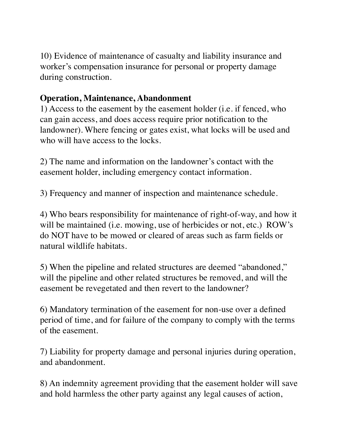10) Evidence of maintenance of casualty and liability insurance and worker's compensation insurance for personal or property damage during construction.

## **Operation, Maintenance, Abandonment**

1) Access to the easement by the easement holder (i.e. if fenced, who can gain access, and does access require prior notification to the landowner). Where fencing or gates exist, what locks will be used and who will have access to the locks.

2) The name and information on the landowner's contact with the easement holder, including emergency contact information.

3) Frequency and manner of inspection and maintenance schedule.

4) Who bears responsibility for maintenance of right-of-way, and how it will be maintained (i.e. mowing, use of herbicides or not, etc.) ROW's do NOT have to be mowed or cleared of areas such as farm fields or natural wildlife habitats.

5) When the pipeline and related structures are deemed "abandoned," will the pipeline and other related structures be removed, and will the easement be revegetated and then revert to the landowner?

6) Mandatory termination of the easement for non-use over a defined period of time, and for failure of the company to comply with the terms of the easement.

7) Liability for property damage and personal injuries during operation, and abandonment.

8) An indemnity agreement providing that the easement holder will save and hold harmless the other party against any legal causes of action,